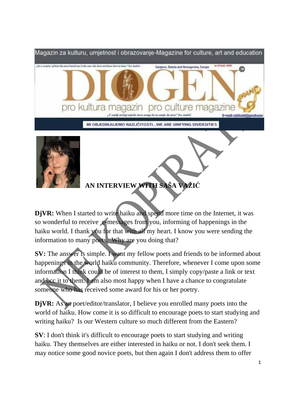



**AN INTERVIEW WITH SAŠA VAŽIĆ**

**DjVR:** When I started to write haiku and spend more time on the Internet, it was so wonderful to receive e-messages from you, informing of happenings in the haiku world. I thank you for that with all my heart. I know you were sending the information to many poets. Why are you doing that?

**SV:** The answer is simple. I want my fellow poets and friends to be informed about happenings in the world haiku community. Therefore, whenever I come upon some information I think could be of interest to them, I simply copy/paste a link or text and bcc it to them. I am also most happy when I have a chance to congratulate someone who has received some award for his or her poetry.

**DjVR:** As an poet/editor/translator, I believe you enrolled many poets into the world of haiku. How come it is so difficult to encourage poets to start studying and writing haiku? Is our Western culture so much different from the Eastern?

**SV**: I don't think it's difficult to encourage poets to start studying and writing haiku. They themselves are either interested in haiku or not. I don't seek them. I may notice some good novice poets, but then again I don't address them to offer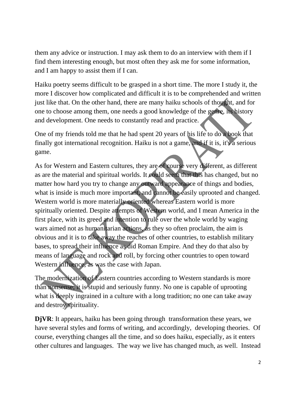them any advice or instruction. I may ask them to do an interview with them if I find them interesting enough, but most often they ask me for some information, and I am happy to assist them if I can.

Haiku poetry seems difficult to be grasped in a short time. The more I study it, the more I discover how complicated and difficult it is to be comprehended and written just like that. On the other hand, there are many haiku schools of thought, and for one to choose among them, one needs a good knowledge of the genre, its history and development. One needs to constantly read and practice.

One of my friends told me that he had spent 20 years of his life to do a book that finally got international recognition. Haiku is not a game, and if it is, it's a serious game.

As for Western and Eastern cultures, they are of course very different, as different as are the material and spiritual worlds. It could seem that this has changed, but no matter how hard you try to change any outward appearance of things and bodies, what is inside is much more important, and cannot be easily uprooted and changed. Western world is more materially oriented whereas Eastern world is more spiritually oriented. Despite attempts of Western world, and I mean America in the first place, with its greed and intention to rule over the whole world by waging wars aimed not as humanitarian actions, as they so often proclaim, the aim is obvious and it is to take away the reaches of other countries, to establish military bases, to spread their influence as did Roman Empire. And they do that also by means of language and rock and roll, by forcing other countries to open toward Western influence, as was the case with Japan.

The modernization of Eastern countries according to Western standards is more than nonsense; it is stupid and seriously funny. No one is capable of uprooting what is deeply ingrained in a culture with a long tradition; no one can take away and destroy spirituality.

**DjVR**: It appears, haiku has been going through transformation these years, we have several styles and forms of writing, and accordingly, developing theories. Of course, everything changes all the time, and so does haiku, especially, as it enters other cultures and languages. The way we live has changed much, as well. Instead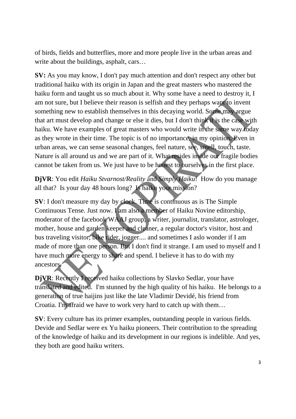of birds, fields and butterflies, more and more people live in the urban areas and write about the buildings, asphalt, cars...

**SV:** As you may know, I don't pay much attention and don't respect any other but traditional haiku with its origin in Japan and the great masters who mastered the haiku form and taught us so much about it. Why some have a need to destroy it, I am not sure, but I believe their reason is selfish and they perhaps want to invent something new to establish themselves in this decaying world. Some may argue that art must develop and change or else it dies, but I don't think it is the case with haiku. We have examples of great masters who would write in the same way today as they wrote in their time. The topic is of no importance, in my opinion. Even in urban areas, we can sense seasonal changes, feel nature, see, smell, touch, taste. Nature is all around us and we are part of it. What resides inside our fragile bodies cannot be taken from us. We just have to be honest to ourselves in the first place.

**DjVR**: You edit *Haiku Stvarnost/Reality* and *Simply Haiku*! How do you manage all that? Is your day 48 hours long? Is haiku your mission?

**SV**: I don't measure my day by clock. Time is continuous as is The Simple Continuous Tense. Just now. I am also a member of Haiku Novine editorship, moderator of the facebook WAAJ group, a writer, journalist, translator, astrologer, mother, house and garden keeper and cleaner, a regular doctor's visitor, host and bus traveling visitor, bike rider, jogger.... and sometimes I aslo wonder if I am made of more than one person. But I don't find it strange. I am used to myself and I have much more energy to share and spend. I believe it has to do with my ancestors.

**DjVR**: Recently I received haiku collections by Slavko Sedlar, your have translated and edited. I'm stunned by the high quality of his haiku. He belongs to a generation of true haijins just like the late Vladimir Devidé, his friend from Croatia. I'm afraid we have to work very hard to catch up with them…

**SV**: Every culture has its primer examples, outstanding people in various fields. Devide and Sedlar were ex Yu haiku pioneers. Their contribution to the spreading of the knowledge of haiku and its development in our regions is indelible. And yes, they both are good haiku writers.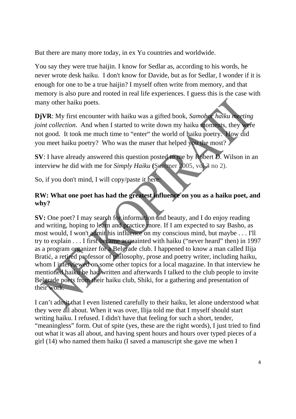But there are many more today, in ex Yu countries and worldwide.

You say they were true haijin. I know for Sedlar as, according to his words, he never wrote desk haiku. I don't know for Davide, but as for Sedlar, I wonder if it is enough for one to be a true haijin? I myself often write from memory, and that memory is also pure and rooted in real life experiences. I guess this is the case with many other haiku poets.

**DjVR**: My first encounter with haiku was a gifted book, *Samobor haiku meeting joint collection*. And when I started to write down my haiku moments, they were not good. It took me much time to "enter" the world of haiku poetry. How did you meet haiku poetry? Who was the maser that helped you the most?

**SV**: I have already answered this question posted to me by Robert D. Wilson in an interview he did with me for *Simply Haiku* **(**Summer 2005, vol 3 no 2).

So, if you don't mind, I will copy/paste it here:

## **RW: What one poet has had the greatest influence on you as a haiku poet, and why?**

**SV:** One poet? I may search for information and beauty, and I do enjoy reading and writing, hoping to learn and practice more. If I am expected to say Basho, as most would, I won't admit his influence on my conscious mind, but maybe . . . I'll try to explain . . . I first became acquainted with haiku ("never heard" then) in 1997 as a program organizer for a Belgrade club. I happened to know a man called Ilija Bratić, a retired professor of philosophy, prose and poetry writer, including haiku, whom I interviewed on some other topics for a local magazine. In that interview he mentioned haiku he had written and afterwards I talked to the club people to invite Belgrade poets from their haiku club, Shiki, for a gathering and presentation of their work.

I can't admit that I even listened carefully to their haiku, let alone understood what they were all about. When it was over, Ilija told me that I myself should start writing haiku. I refused. I didn't have that feeling for such a short, tender, "meaningless" form. Out of spite (yes, these are the right words), I just tried to find out what it was all about, and having spent hours and hours over typed pieces of a girl (14) who named them haiku (I saved a manuscript she gave me when I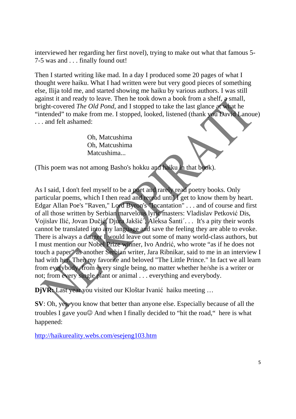interviewed her regarding her first novel), trying to make out what that famous 5- 7-5 was and . . . finally found out!

Then I started writing like mad. In a day I produced some 20 pages of what I thought were haiku. What I had written were but very good pieces of something else, Ilija told me, and started showing me haiku by various authors. I was still against it and ready to leave. Then he took down a book from a shelf, a small, bright-covered *The Old Pond*, and I stopped to take the last glance at what he "intended" to make from me. I stopped, looked, listened (thank you David Lanoue) . . . and felt ashamed:

> Oh, Matcushima Oh, Matcushima Matcushima...

(This poem was not among Basho's hokku and haiku in that book).

As I said, I don't feel myself to be a poet and rarely read poetry books. Only particular poems, which I then read and reread until I get to know them by heart. Edgar Allan Poe's "Raven," Lord Byron's "Incantation" . . . and of course and first of all those written by Serbian marvelous lyric masters: Vladislav Petković Dis, Vojislav Ilić, Jovan Dučić, Djura Jakšić´, Aleksa Šanti´. . . It's a pity their words cannot be translated into any language and save the feeling they are able to evoke. There is always a danger I would leave out some of many world-class authors, but I must mention our Nobel Prize winner, Ivo Andrić, who wrote "as if he does not touch a paper" as another Serbian writer, Jara Ribnikar, said to me in an interview I had with her. Then my favorite and beloved "The Little Prince." In fact we all learn from everybody, from every single being, no matter whether he/she is a writer or not; from every single plant or animal . . . everything and everybody.

**DjVR:** Last year you visited our Kloštar Ivanić haiku meeting …

**SV**: Oh, yes, you know that better than anyone else. Especially because of all the troubles I gave you☺ And when I finally decided to "hit the road," here is what happened:

http://haikureality.webs.com/esejeng103.htm